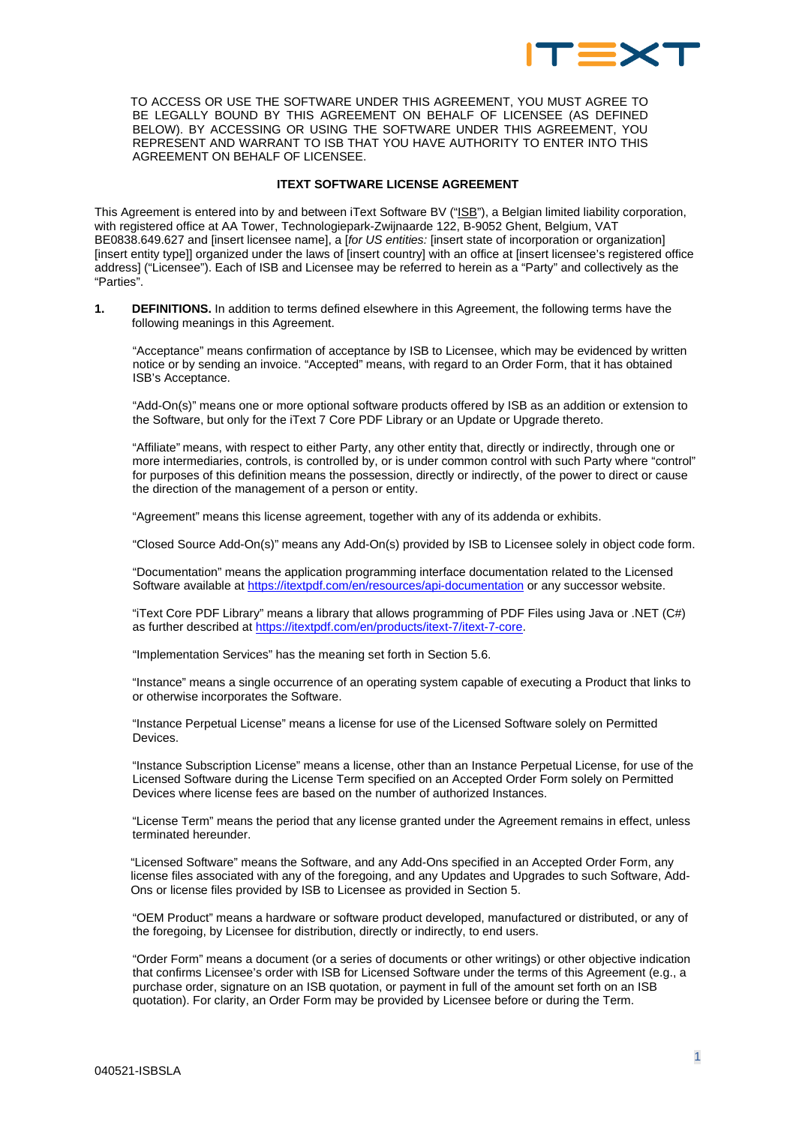

TO ACCESS OR USE THE SOFTWARE UNDER THIS AGREEMENT, YOU MUST AGREE TO BE LEGALLY BOUND BY THIS AGREEMENT ON BEHALF OF LICENSEE (AS DEFINED BELOW). BY ACCESSING OR USING THE SOFTWARE UNDER THIS AGREEMENT, YOU REPRESENT AND WARRANT TO ISB THAT YOU HAVE AUTHORITY TO ENTER INTO THIS AGREEMENT ON BEHALF OF LICENSEE.

#### **ITEXT SOFTWARE LICENSE AGREEMENT**

This Agreement is entered into by and between iText Software BV ("ISB"), a Belgian limited liability corporation, with registered office at AA Tower, Technologiepark-Zwijnaarde 122, B-9052 Ghent, Belgium, VAT BE0838.649.627 and [insert licensee name], a [*for US entities:* [insert state of incorporation or organization] [insert entity type]] organized under the laws of [insert country] with an office at [insert licensee's registered office address] ("Licensee"). Each of ISB and Licensee may be referred to herein as a "Party" and collectively as the "Parties".

**1. DEFINITIONS.** In addition to terms defined elsewhere in this Agreement, the following terms have the following meanings in this Agreement.

"Acceptance" means confirmation of acceptance by ISB to Licensee, which may be evidenced by written notice or by sending an invoice. "Accepted" means, with regard to an Order Form, that it has obtained ISB's Acceptance.

"Add-On(s)" means one or more optional software products offered by ISB as an addition or extension to the Software, but only for the iText 7 Core PDF Library or an Update or Upgrade thereto.

"Affiliate" means, with respect to either Party, any other entity that, directly or indirectly, through one or more intermediaries, controls, is controlled by, or is under common control with such Party where "control" for purposes of this definition means the possession, directly or indirectly, of the power to direct or cause the direction of the management of a person or entity.

"Agreement" means this license agreement, together with any of its addenda or exhibits.

"Closed Source Add-On(s)" means any Add-On(s) provided by ISB to Licensee solely in object code form.

"Documentation" means the application programming interface documentation related to the Licensed Software available at<https://itextpdf.com/en/resources/api-documentation> or any successor website.

"iText Core PDF Library" means a library that allows programming of PDF Files using Java or .NET (C#) as further described at [https://itextpdf.com/en/products/itext-7/itext-7-core.](https://itextpdf.com/en/products/itext-7/itext-7-core)

"Implementation Services" has the meaning set forth in Section 5.6.

"Instance" means a single occurrence of an operating system capable of executing a Product that links to or otherwise incorporates the Software.

"Instance Perpetual License" means a license for use of the Licensed Software solely on Permitted Devices.

"Instance Subscription License" means a license, other than an Instance Perpetual License, for use of the Licensed Software during the License Term specified on an Accepted Order Form solely on Permitted Devices where license fees are based on the number of authorized Instances.

"License Term" means the period that any license granted under the Agreement remains in effect, unless terminated hereunder.

"Licensed Software" means the Software, and any Add-Ons specified in an Accepted Order Form, any license files associated with any of the foregoing, and any Updates and Upgrades to such Software, Add-Ons or license files provided by ISB to Licensee as provided in Section 5.

"OEM Product" means a hardware or software product developed, manufactured or distributed, or any of the foregoing, by Licensee for distribution, directly or indirectly, to end users.

"Order Form" means a document (or a series of documents or other writings) or other objective indication that confirms Licensee's order with ISB for Licensed Software under the terms of this Agreement (e.g., a purchase order, signature on an ISB quotation, or payment in full of the amount set forth on an ISB quotation). For clarity, an Order Form may be provided by Licensee before or during the Term.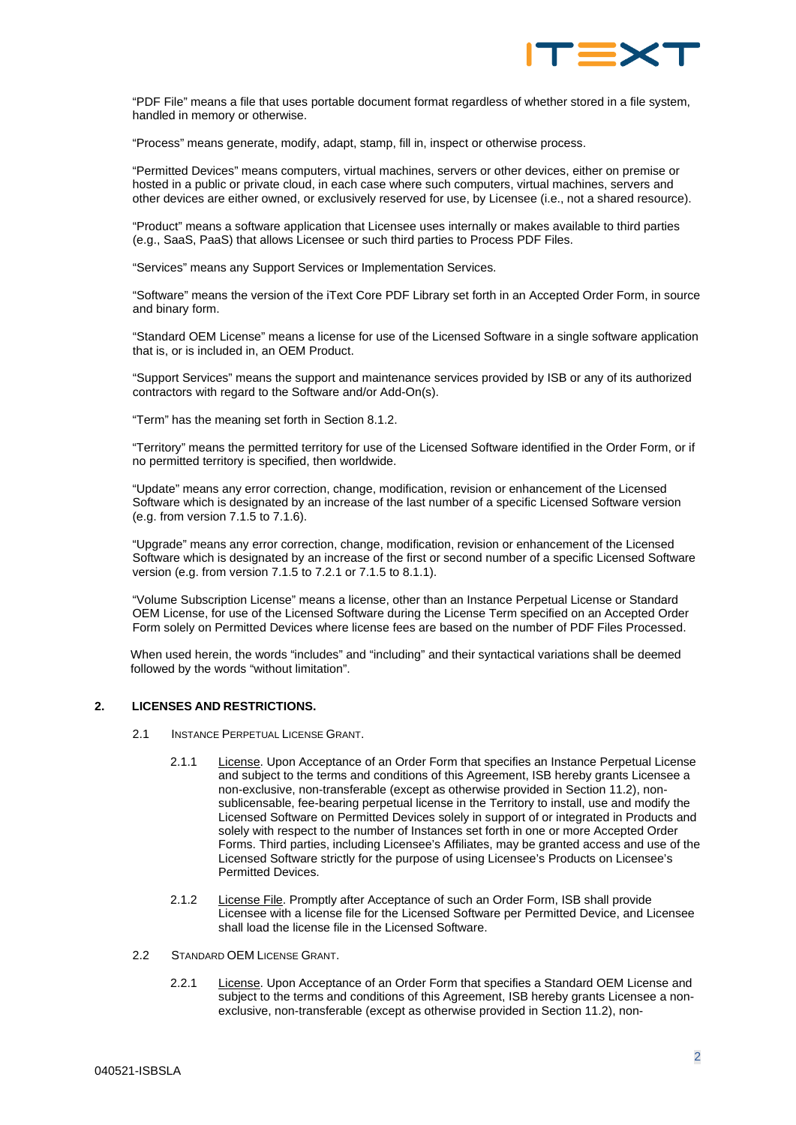

"PDF File" means a file that uses portable document format regardless of whether stored in a file system, handled in memory or otherwise.

"Process" means generate, modify, adapt, stamp, fill in, inspect or otherwise process.

"Permitted Devices" means computers, virtual machines, servers or other devices, either on premise or hosted in a public or private cloud, in each case where such computers, virtual machines, servers and other devices are either owned, or exclusively reserved for use, by Licensee (i.e., not a shared resource).

"Product" means a software application that Licensee uses internally or makes available to third parties (e.g., SaaS, PaaS) that allows Licensee or such third parties to Process PDF Files.

"Services" means any Support Services or Implementation Services.

"Software" means the version of the iText Core PDF Library set forth in an Accepted Order Form, in source and binary form.

"Standard OEM License" means a license for use of the Licensed Software in a single software application that is, or is included in, an OEM Product.

"Support Services" means the support and maintenance services provided by ISB or any of its authorized contractors with regard to the Software and/or Add-On(s).

"Term" has the meaning set forth in Section [8.1.2.](#page-5-0)

"Territory" means the permitted territory for use of the Licensed Software identified in the Order Form, or if no permitted territory is specified, then worldwide.

"Update" means any error correction, change, modification, revision or enhancement of the Licensed Software which is designated by an increase of the last number of a specific Licensed Software version (e.g. from version 7.1.5 to 7.1.6).

"Upgrade" means any error correction, change, modification, revision or enhancement of the Licensed Software which is designated by an increase of the first or second number of a specific Licensed Software version (e.g. from version 7.1.5 to 7.2.1 or 7.1.5 to 8.1.1).

"Volume Subscription License" means a license, other than an Instance Perpetual License or Standard OEM License, for use of the Licensed Software during the License Term specified on an Accepted Order Form solely on Permitted Devices where license fees are based on the number of PDF Files Processed.

When used herein, the words "includes" and "including" and their syntactical variations shall be deemed followed by the words "without limitation".

## **2. LICENSES AND RESTRICTIONS.**

- 2.1 INSTANCE PERPETUAL LICENSE GRANT.
	- 2.1.1 License. Upon Acceptance of an Order Form that specifies an Instance Perpetual License and subject to the terms and conditions of this Agreement, ISB hereby grants Licensee a non-exclusive, non-transferable (except as otherwise provided in Sectio[n 11.2\)](#page-7-0), nonsublicensable, fee-bearing perpetual license in the Territory to install, use and modify the Licensed Software on Permitted Devices solely in support of or integrated in Products and solely with respect to the number of Instances set forth in one or more Accepted Order Forms. Third parties, including Licensee's Affiliates, may be granted access and use of the Licensed Software strictly for the purpose of using Licensee's Products on Licensee's Permitted Devices.
	- 2.1.2 License File. Promptly after Acceptance of such an Order Form, ISB shall provide Licensee with a license file for the Licensed Software per Permitted Device, and Licensee shall load the license file in the Licensed Software.
- 2.2 STANDARD OEM LICENSE GRANT.
	- 2.2.1 License. Upon Acceptance of an Order Form that specifies a Standard OEM License and subject to the terms and conditions of this Agreement, ISB hereby grants Licensee a nonexclusive, non-transferable (except as otherwise provided in Section [11.2\)](#page-7-0), non-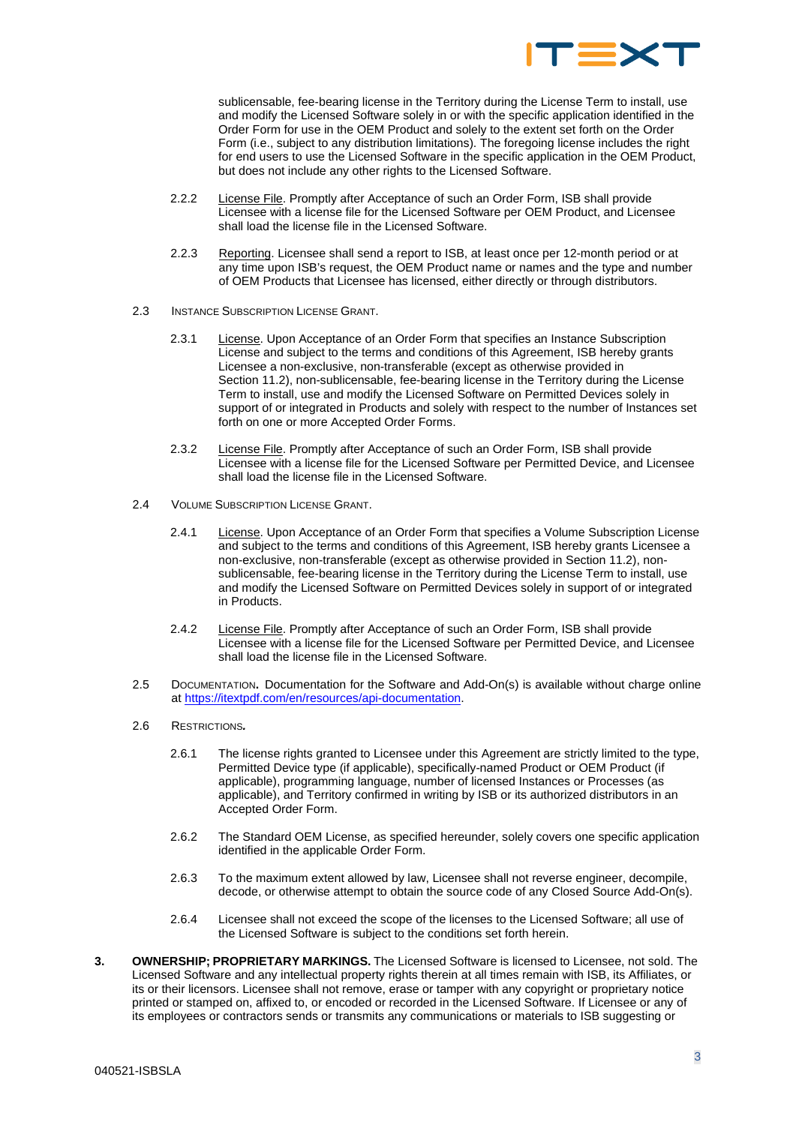

sublicensable, fee-bearing license in the Territory during the License Term to install, use and modify the Licensed Software solely in or with the specific application identified in the Order Form for use in the OEM Product and solely to the extent set forth on the Order Form (i.e., subject to any distribution limitations). The foregoing license includes the right for end users to use the Licensed Software in the specific application in the OEM Product, but does not include any other rights to the Licensed Software.

- 2.2.2 License File. Promptly after Acceptance of such an Order Form, ISB shall provide Licensee with a license file for the Licensed Software per OEM Product, and Licensee shall load the license file in the Licensed Software.
- 2.2.3 Reporting. Licensee shall send a report to ISB, at least once per 12-month period or at any time upon ISB's request, the OEM Product name or names and the type and number of OEM Products that Licensee has licensed, either directly or through distributors.
- 2.3 INSTANCE SUBSCRIPTION LICENSE GRANT.
	- 2.3.1 License. Upon Acceptance of an Order Form that specifies an Instance Subscription License and subject to the terms and conditions of this Agreement, ISB hereby grants Licensee a non-exclusive, non-transferable (except as otherwise provided in Section [11.2\)](#page-7-0), non-sublicensable, fee-bearing license in the Territory during the License Term to install, use and modify the Licensed Software on Permitted Devices solely in support of or integrated in Products and solely with respect to the number of Instances set forth on one or more Accepted Order Forms.
	- 2.3.2 License File. Promptly after Acceptance of such an Order Form, ISB shall provide Licensee with a license file for the Licensed Software per Permitted Device, and Licensee shall load the license file in the Licensed Software.
- 2.4 VOLUME SUBSCRIPTION LICENSE GRANT.
	- 2.4.1 License. Upon Acceptance of an Order Form that specifies a Volume Subscription License and subject to the terms and conditions of this Agreement, ISB hereby grants Licensee a non-exclusive, non-transferable (except as otherwise provided in Section [11.2\)](#page-7-0), nonsublicensable, fee-bearing license in the Territory during the License Term to install, use and modify the Licensed Software on Permitted Devices solely in support of or integrated in Products.
	- 2.4.2 License File. Promptly after Acceptance of such an Order Form, ISB shall provide Licensee with a license file for the Licensed Software per Permitted Device, and Licensee shall load the license file in the Licensed Software.
- 2.5 DOCUMENTATION**.** Documentation for the Software and Add-On(s) is available without charge online at [https://itextpdf.com/en/resources/api-documentation.](https://itextpdf.com/en/resources/api-documentation)
- <span id="page-2-0"></span>2.6 RESTRICTIONS*.*
	- 2.6.1 The license rights granted to Licensee under this Agreement are strictly limited to the type, Permitted Device type (if applicable), specifically-named Product or OEM Product (if applicable), programming language, number of licensed Instances or Processes (as applicable), and Territory confirmed in writing by ISB or its authorized distributors in an Accepted Order Form.
	- 2.6.2 The Standard OEM License, as specified hereunder, solely covers one specific application identified in the applicable Order Form.
	- 2.6.3 To the maximum extent allowed by law, Licensee shall not reverse engineer, decompile, decode, or otherwise attempt to obtain the source code of any Closed Source Add-On(s).
	- 2.6.4 Licensee shall not exceed the scope of the licenses to the Licensed Software; all use of the Licensed Software is subject to the conditions set forth herein.
- **3. OWNERSHIP; PROPRIETARY MARKINGS.** The Licensed Software is licensed to Licensee, not sold. The Licensed Software and any intellectual property rights therein at all times remain with ISB, its Affiliates, or its or their licensors. Licensee shall not remove, erase or tamper with any copyright or proprietary notice printed or stamped on, affixed to, or encoded or recorded in the Licensed Software. If Licensee or any of its employees or contractors sends or transmits any communications or materials to ISB suggesting or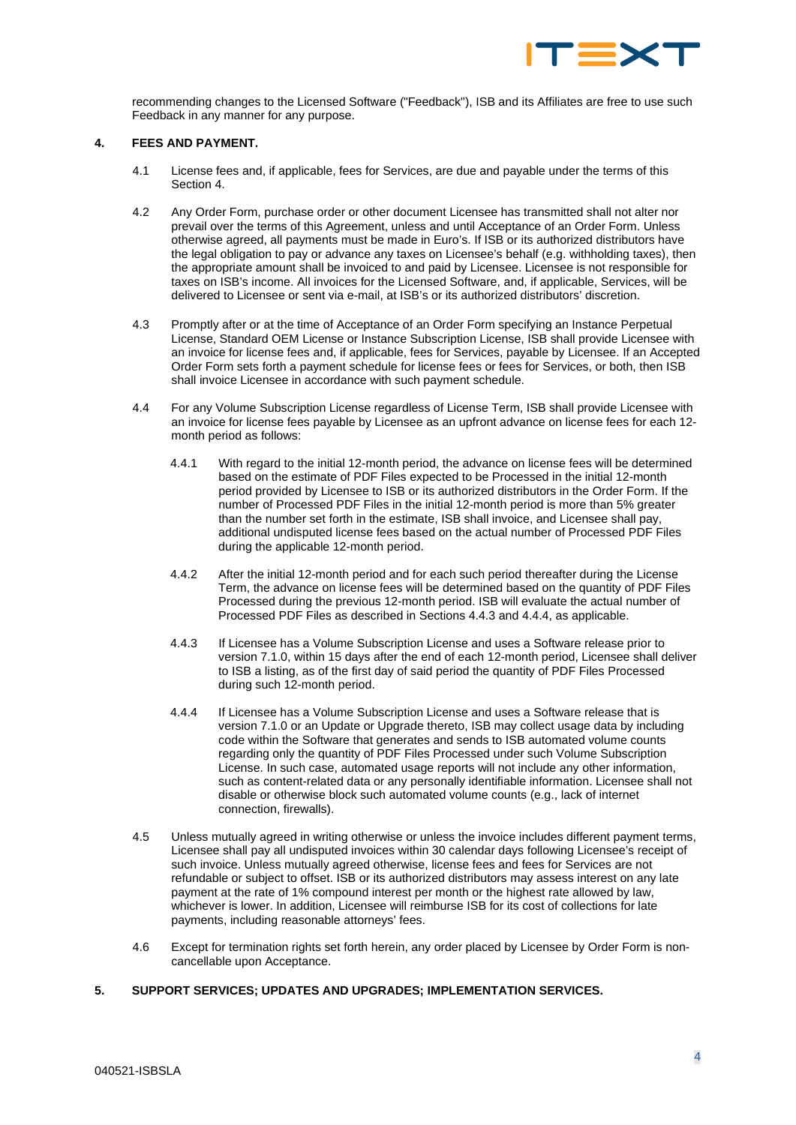

recommending changes to the Licensed Software ("Feedback"), ISB and its Affiliates are free to use such Feedback in any manner for any purpose.

### <span id="page-3-0"></span>**4. FEES AND PAYMENT.**

- 4.1 License fees and, if applicable, fees for Services, are due and payable under the terms of this Section [4.](#page-3-0)
- 4.2 Any Order Form, purchase order or other document Licensee has transmitted shall not alter nor prevail over the terms of this Agreement, unless and until Acceptance of an Order Form. Unless otherwise agreed, all payments must be made in Euro's. If ISB or its authorized distributors have the legal obligation to pay or advance any taxes on Licensee's behalf (e.g. withholding taxes), then the appropriate amount shall be invoiced to and paid by Licensee. Licensee is not responsible for taxes on ISB's income. All invoices for the Licensed Software, and, if applicable, Services, will be delivered to Licensee or sent via e-mail, at ISB's or its authorized distributors' discretion.
- 4.3 Promptly after or at the time of Acceptance of an Order Form specifying an Instance Perpetual License, Standard OEM License or Instance Subscription License, ISB shall provide Licensee with an invoice for license fees and, if applicable, fees for Services, payable by Licensee. If an Accepted Order Form sets forth a payment schedule for license fees or fees for Services, or both, then ISB shall invoice Licensee in accordance with such payment schedule.
- 4.4 For any Volume Subscription License regardless of License Term, ISB shall provide Licensee with an invoice for license fees payable by Licensee as an upfront advance on license fees for each 12 month period as follows:
	- 4.4.1 With regard to the initial 12-month period, the advance on license fees will be determined based on the estimate of PDF Files expected to be Processed in the initial 12-month period provided by Licensee to ISB or its authorized distributors in the Order Form. If the number of Processed PDF Files in the initial 12-month period is more than 5% greater than the number set forth in the estimate, ISB shall invoice, and Licensee shall pay, additional undisputed license fees based on the actual number of Processed PDF Files during the applicable 12-month period.
	- 4.4.2 After the initial 12-month period and for each such period thereafter during the License Term, the advance on license fees will be determined based on the quantity of PDF Files Processed during the previous 12-month period. ISB will evaluate the actual number of Processed PDF Files as described in Sections 4.4.3 and 4.4.4, as applicable.
	- 4.4.3 If Licensee has a Volume Subscription License and uses a Software release prior to version 7.1.0, within 15 days after the end of each 12-month period, Licensee shall deliver to ISB a listing, as of the first day of said period the quantity of PDF Files Processed during such 12-month period.
	- 4.4.4 If Licensee has a Volume Subscription License and uses a Software release that is version 7.1.0 or an Update or Upgrade thereto, ISB may collect usage data by including code within the Software that generates and sends to ISB automated volume counts regarding only the quantity of PDF Files Processed under such Volume Subscription License. In such case, automated usage reports will not include any other information, such as content-related data or any personally identifiable information. Licensee shall not disable or otherwise block such automated volume counts (e.g., lack of internet connection, firewalls).
- 4.5 Unless mutually agreed in writing otherwise or unless the invoice includes different payment terms, Licensee shall pay all undisputed invoices within 30 calendar days following Licensee's receipt of such invoice. Unless mutually agreed otherwise, license fees and fees for Services are not refundable or subject to offset. ISB or its authorized distributors may assess interest on any late payment at the rate of 1% compound interest per month or the highest rate allowed by law, whichever is lower. In addition, Licensee will reimburse ISB for its cost of collections for late payments, including reasonable attorneys' fees.
- 4.6 Except for termination rights set forth herein, any order placed by Licensee by Order Form is noncancellable upon Acceptance.

## **5. SUPPORT SERVICES; UPDATES AND UPGRADES; IMPLEMENTATION SERVICES.**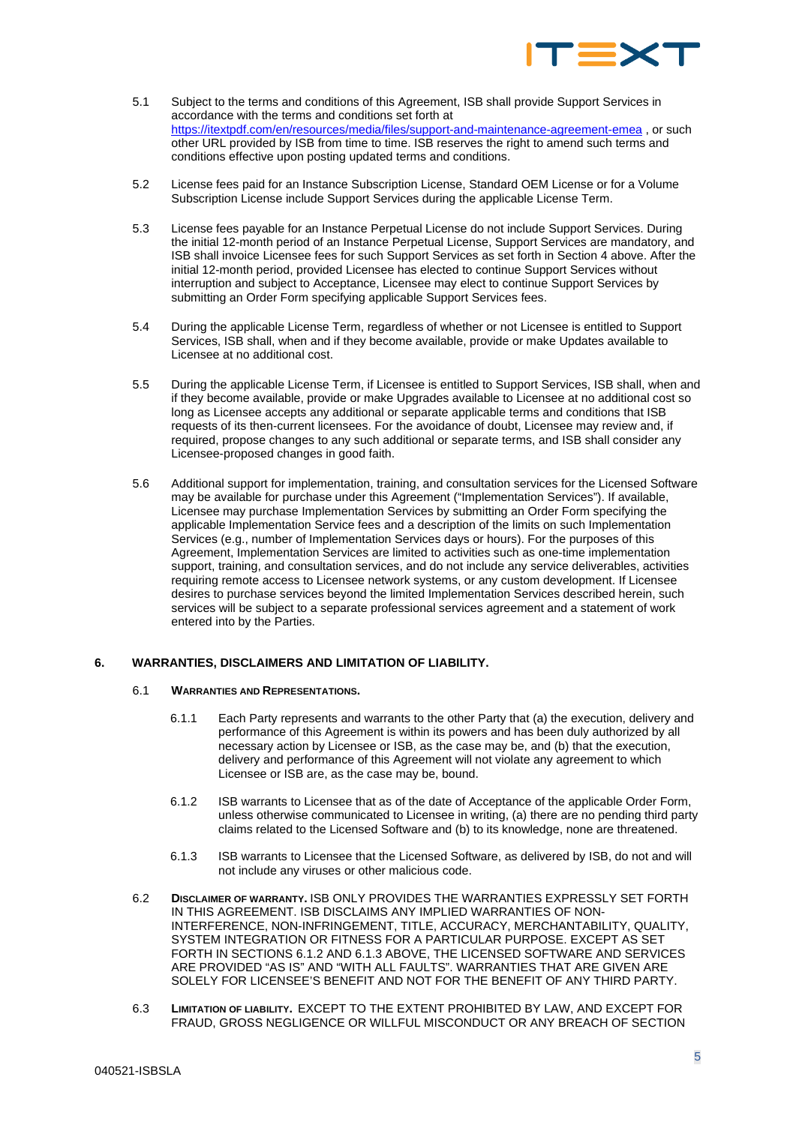

- 5.1 Subject to the terms and conditions of this Agreement, ISB shall provide Support Services in accordance with the terms and conditions set forth at <https://itextpdf.com/en/resources/media/files/support-and-maintenance-agreement-emea> , or such other URL provided by ISB from time to time. ISB reserves the right to amend such terms and conditions effective upon posting updated terms and conditions.
- 5.2 License fees paid for an Instance Subscription License, Standard OEM License or for a Volume Subscription License include Support Services during the applicable License Term.
- 5.3 License fees payable for an Instance Perpetual License do not include Support Services. During the initial 12-month period of an Instance Perpetual License, Support Services are mandatory, and ISB shall invoice Licensee fees for such Support Services as set forth in Section [4](#page-3-0) above. After the initial 12-month period, provided Licensee has elected to continue Support Services without interruption and subject to Acceptance, Licensee may elect to continue Support Services by submitting an Order Form specifying applicable Support Services fees.
- 5.4 During the applicable License Term, regardless of whether or not Licensee is entitled to Support Services, ISB shall, when and if they become available, provide or make Updates available to Licensee at no additional cost.
- 5.5 During the applicable License Term, if Licensee is entitled to Support Services, ISB shall, when and if they become available, provide or make Upgrades available to Licensee at no additional cost so long as Licensee accepts any additional or separate applicable terms and conditions that ISB requests of its then-current licensees. For the avoidance of doubt, Licensee may review and, if required, propose changes to any such additional or separate terms, and ISB shall consider any Licensee-proposed changes in good faith.
- 5.6 Additional support for implementation, training, and consultation services for the Licensed Software may be available for purchase under this Agreement ("Implementation Services"). If available, Licensee may purchase Implementation Services by submitting an Order Form specifying the applicable Implementation Service fees and a description of the limits on such Implementation Services (e.g., number of Implementation Services days or hours). For the purposes of this Agreement, Implementation Services are limited to activities such as one-time implementation support, training, and consultation services, and do not include any service deliverables, activities requiring remote access to Licensee network systems, or any custom development. If Licensee desires to purchase services beyond the limited Implementation Services described herein, such services will be subject to a separate professional services agreement and a statement of work entered into by the Parties.

### **6. WARRANTIES, DISCLAIMERS AND LIMITATION OF LIABILITY.**

### 6.1 **WARRANTIES AND REPRESENTATIONS.**

- 6.1.1 Each Party represents and warrants to the other Party that (a) the execution, delivery and performance of this Agreement is within its powers and has been duly authorized by all necessary action by Licensee or ISB, as the case may be, and (b) that the execution, delivery and performance of this Agreement will not violate any agreement to which Licensee or ISB are, as the case may be, bound.
- <span id="page-4-0"></span>6.1.2 ISB warrants to Licensee that as of the date of Acceptance of the applicable Order Form, unless otherwise communicated to Licensee in writing, (a) there are no pending third party claims related to the Licensed Software and (b) to its knowledge, none are threatened.
- 6.1.3 ISB warrants to Licensee that the Licensed Software, as delivered by ISB, do not and will not include any viruses or other malicious code.
- <span id="page-4-1"></span>6.2 **DISCLAIMER OF WARRANTY.** ISB ONLY PROVIDES THE WARRANTIES EXPRESSLY SET FORTH IN THIS AGREEMENT. ISB DISCLAIMS ANY IMPLIED WARRANTIES OF NON-INTERFERENCE, NON-INFRINGEMENT, TITLE, ACCURACY, MERCHANTABILITY, QUALITY, SYSTEM INTEGRATION OR FITNESS FOR A PARTICULAR PURPOSE. EXCEPT AS SET FORTH IN SECTION[S 6.1.2](#page-4-0) AND [6.1.3](#page-4-1) ABOVE, THE LICENSED SOFTWARE AND SERVICES ARE PROVIDED "AS IS" AND "WITH ALL FAULTS". WARRANTIES THAT ARE GIVEN ARE SOLELY FOR LICENSEE'S BENEFIT AND NOT FOR THE BENEFIT OF ANY THIRD PARTY.
- 6.3 **LIMITATION OF LIABILITY.** EXCEPT TO THE EXTENT PROHIBITED BY LAW, AND EXCEPT FOR FRAUD, GROSS NEGLIGENCE OR WILLFUL MISCONDUCT OR ANY BREACH OF SECTION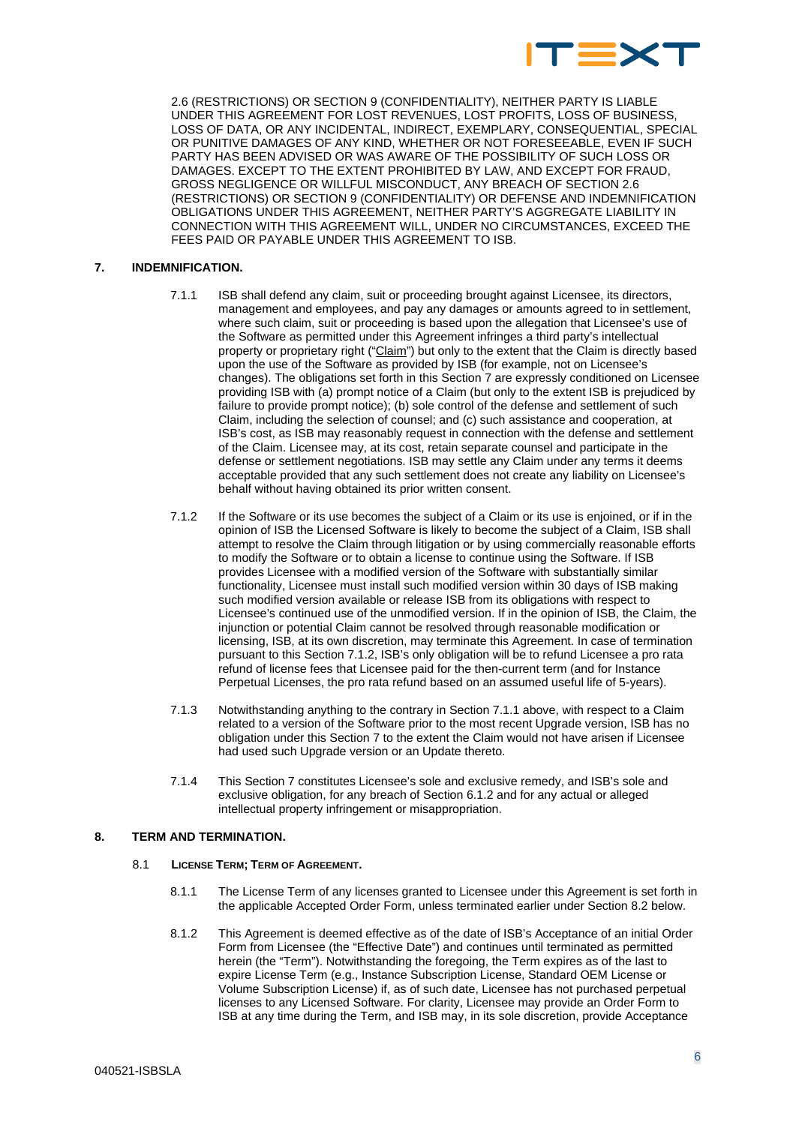

[2.6](#page-2-0) (RESTRICTIONS) OR SECTION 9 (CONFIDENTIALITY), NEITHER PARTY IS LIABLE UNDER THIS AGREEMENT FOR LOST REVENUES, LOST PROFITS, LOSS OF BUSINESS, LOSS OF DATA, OR ANY INCIDENTAL, INDIRECT, EXEMPLARY, CONSEQUENTIAL, SPECIAL OR PUNITIVE DAMAGES OF ANY KIND, WHETHER OR NOT FORESEEABLE, EVEN IF SUCH PARTY HAS BEEN ADVISED OR WAS AWARE OF THE POSSIBILITY OF SUCH LOSS OR DAMAGES. EXCEPT TO THE EXTENT PROHIBITED BY LAW, AND EXCEPT FOR FRAUD, GROSS NEGLIGENCE OR WILLFUL MISCONDUCT, ANY BREACH OF SECTIO[N 2.6](#page-2-0)  (RESTRICTIONS) OR SECTION 9 (CONFIDENTIALITY) OR DEFENSE AND INDEMNIFICATION OBLIGATIONS UNDER THIS AGREEMENT, NEITHER PARTY'S AGGREGATE LIABILITY IN CONNECTION WITH THIS AGREEMENT WILL, UNDER NO CIRCUMSTANCES, EXCEED THE FEES PAID OR PAYABLE UNDER THIS AGREEMENT TO ISB.

# <span id="page-5-3"></span><span id="page-5-1"></span>**7. INDEMNIFICATION.**

- 7.1.1 ISB shall defend any claim, suit or proceeding brought against Licensee, its directors, management and employees, and pay any damages or amounts agreed to in settlement, where such claim, suit or proceeding is based upon the allegation that Licensee's use of the Software as permitted under this Agreement infringes a third party's intellectual property or proprietary right ("Claim") but only to the extent that the Claim is directly based upon the use of the Software as provided by ISB (for example, not on Licensee's changes). The obligations set forth in this Sectio[n 7](#page-5-1) are expressly conditioned on Licensee providing ISB with (a) prompt notice of a Claim (but only to the extent ISB is prejudiced by failure to provide prompt notice); (b) sole control of the defense and settlement of such Claim, including the selection of counsel; and (c) such assistance and cooperation, at ISB's cost, as ISB may reasonably request in connection with the defense and settlement of the Claim. Licensee may, at its cost, retain separate counsel and participate in the defense or settlement negotiations. ISB may settle any Claim under any terms it deems acceptable provided that any such settlement does not create any liability on Licensee's behalf without having obtained its prior written consent.
- <span id="page-5-2"></span>7.1.2 If the Software or its use becomes the subject of a Claim or its use is enjoined, or if in the opinion of ISB the Licensed Software is likely to become the subject of a Claim, ISB shall attempt to resolve the Claim through litigation or by using commercially reasonable efforts to modify the Software or to obtain a license to continue using the Software. If ISB provides Licensee with a modified version of the Software with substantially similar functionality, Licensee must install such modified version within 30 days of ISB making such modified version available or release ISB from its obligations with respect to Licensee's continued use of the unmodified version. If in the opinion of ISB, the Claim, the injunction or potential Claim cannot be resolved through reasonable modification or licensing, ISB, at its own discretion, may terminate this Agreement. In case of termination pursuant to this Section [7.1.2,](#page-5-2) ISB's only obligation will be to refund Licensee a pro rata refund of license fees that Licensee paid for the then-current term (and for Instance Perpetual Licenses, the pro rata refund based on an assumed useful life of 5-years).
- 7.1.3 Notwithstanding anything to the contrary in Sectio[n 7.1.1](#page-5-3) above, with respect to a Claim related to a version of the Software prior to the most recent Upgrade version, ISB has no obligation under this Section [7](#page-5-1) to the extent the Claim would not have arisen if Licensee had used such Upgrade version or an Update thereto.
- 7.1.4 This Sectio[n 7](#page-5-1) constitutes Licensee's sole and exclusive remedy, and ISB's sole and exclusive obligation, for any breach of Section [6.1.2](#page-4-0) and for any actual or alleged intellectual property infringement or misappropriation.

### **8. TERM AND TERMINATION.**

# 8.1 **LICENSE TERM; TERM OF AGREEMENT.**

- 8.1.1 The License Term of any licenses granted to Licensee under this Agreement is set forth in the applicable Accepted Order Form, unless terminated earlier under Section [8.2](#page-6-0) below.
- <span id="page-5-0"></span>8.1.2 This Agreement is deemed effective as of the date of ISB's Acceptance of an initial Order Form from Licensee (the "Effective Date") and continues until terminated as permitted herein (the "Term"). Notwithstanding the foregoing, the Term expires as of the last to expire License Term (e.g., Instance Subscription License, Standard OEM License or Volume Subscription License) if, as of such date, Licensee has not purchased perpetual licenses to any Licensed Software. For clarity, Licensee may provide an Order Form to ISB at any time during the Term, and ISB may, in its sole discretion, provide Acceptance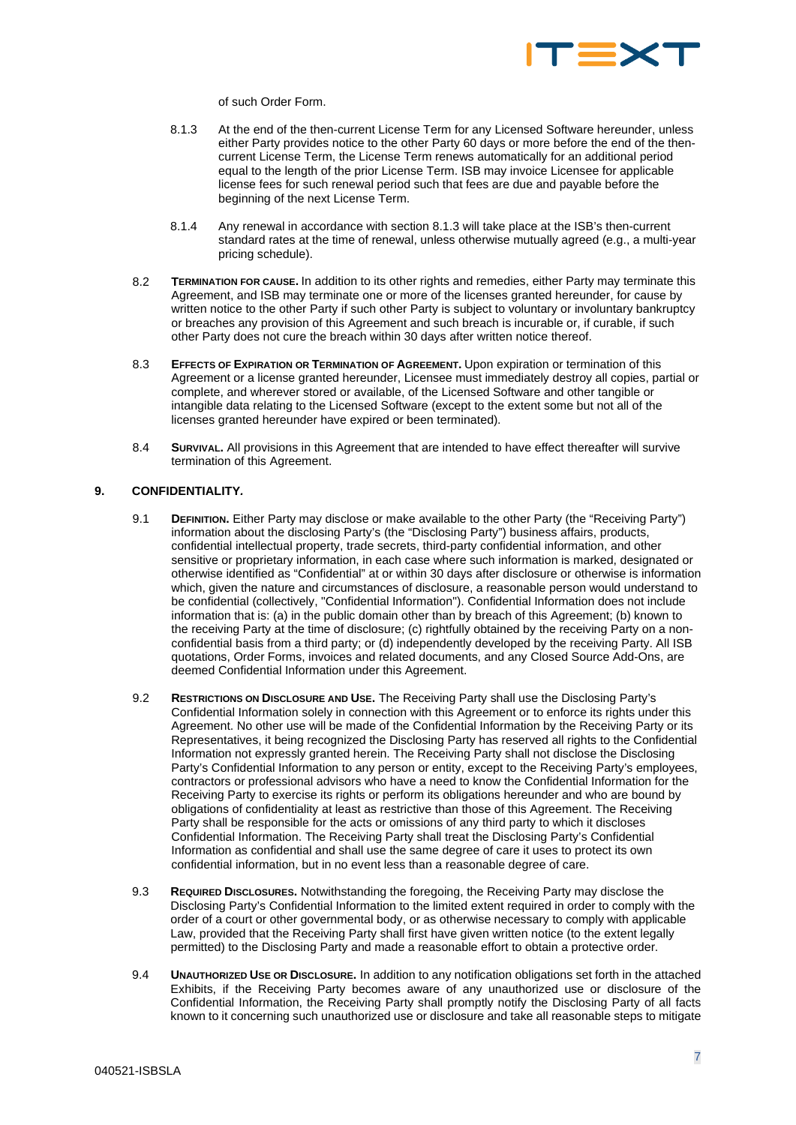

of such Order Form.

- 8.1.3 At the end of the then-current License Term for any Licensed Software hereunder, unless either Party provides notice to the other Party 60 days or more before the end of the thencurrent License Term, the License Term renews automatically for an additional period equal to the length of the prior License Term. ISB may invoice Licensee for applicable license fees for such renewal period such that fees are due and payable before the beginning of the next License Term.
- 8.1.4 Any renewal in accordance with section 8.1.3 will take place at the ISB's then-current standard rates at the time of renewal, unless otherwise mutually agreed (e.g., a multi-year pricing schedule).
- <span id="page-6-0"></span>8.2 **TERMINATION FOR CAUSE.** In addition to its other rights and remedies, either Party may terminate this Agreement, and ISB may terminate one or more of the licenses granted hereunder, for cause by written notice to the other Party if such other Party is subject to voluntary or involuntary bankruptcy or breaches any provision of this Agreement and such breach is incurable or, if curable, if such other Party does not cure the breach within 30 days after written notice thereof.
- 8.3 **EFFECTS OF EXPIRATION OR TERMINATION OF AGREEMENT.** Upon expiration or termination of this Agreement or a license granted hereunder, Licensee must immediately destroy all copies, partial or complete, and wherever stored or available, of the Licensed Software and other tangible or intangible data relating to the Licensed Software (except to the extent some but not all of the licenses granted hereunder have expired or been terminated).
- 8.4 **SURVIVAL.** All provisions in this Agreement that are intended to have effect thereafter will survive termination of this Agreement.

## <span id="page-6-1"></span>**9. CONFIDENTIALITY***.*

- 9.1 **DEFINITION.** Either Party may disclose or make available to the other Party (the "Receiving Party") information about the disclosing Party's (the "Disclosing Party") business affairs, products, confidential intellectual property, trade secrets, third-party confidential information, and other sensitive or proprietary information, in each case where such information is marked, designated or otherwise identified as "Confidential" at or within 30 days after disclosure or otherwise is information which, given the nature and circumstances of disclosure, a reasonable person would understand to be confidential (collectively, "Confidential Information"). Confidential Information does not include information that is: (a) in the public domain other than by breach of this Agreement; (b) known to the receiving Party at the time of disclosure; (c) rightfully obtained by the receiving Party on a nonconfidential basis from a third party; or (d) independently developed by the receiving Party. All ISB quotations, Order Forms, invoices and related documents, and any Closed Source Add-Ons, are deemed Confidential Information under this Agreement.
- 9.2 **RESTRICTIONS ON DISCLOSURE AND USE.** The Receiving Party shall use the Disclosing Party's Confidential Information solely in connection with this Agreement or to enforce its rights under this Agreement. No other use will be made of the Confidential Information by the Receiving Party or its Representatives, it being recognized the Disclosing Party has reserved all rights to the Confidential Information not expressly granted herein. The Receiving Party shall not disclose the Disclosing Party's Confidential Information to any person or entity, except to the Receiving Party's employees, contractors or professional advisors who have a need to know the Confidential Information for the Receiving Party to exercise its rights or perform its obligations hereunder and who are bound by obligations of confidentiality at least as restrictive than those of this Agreement. The Receiving Party shall be responsible for the acts or omissions of any third party to which it discloses Confidential Information. The Receiving Party shall treat the Disclosing Party's Confidential Information as confidential and shall use the same degree of care it uses to protect its own confidential information, but in no event less than a reasonable degree of care.
- 9.3 **REQUIRED DISCLOSURES.** Notwithstanding the foregoing, the Receiving Party may disclose the Disclosing Party's Confidential Information to the limited extent required in order to comply with the order of a court or other governmental body, or as otherwise necessary to comply with applicable Law, provided that the Receiving Party shall first have given written notice (to the extent legally permitted) to the Disclosing Party and made a reasonable effort to obtain a protective order.
- 9.4 **UNAUTHORIZED USE OR DISCLOSURE.** In addition to any notification obligations set forth in the attached Exhibits, if the Receiving Party becomes aware of any unauthorized use or disclosure of the Confidential Information, the Receiving Party shall promptly notify the Disclosing Party of all facts known to it concerning such unauthorized use or disclosure and take all reasonable steps to mitigate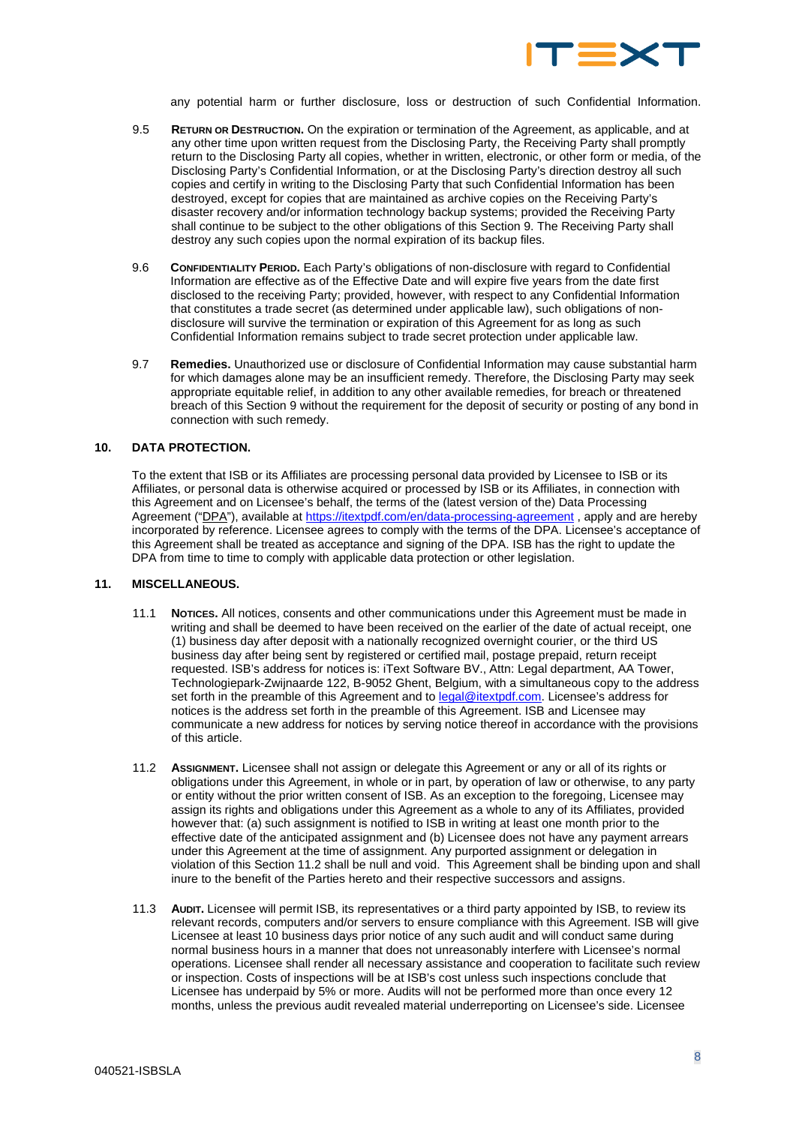

any potential harm or further disclosure, loss or destruction of such Confidential Information.

- 9.5 **RETURN OR DESTRUCTION.** On the expiration or termination of the Agreement, as applicable, and at any other time upon written request from the Disclosing Party, the Receiving Party shall promptly return to the Disclosing Party all copies, whether in written, electronic, or other form or media, of the Disclosing Party's Confidential Information, or at the Disclosing Party's direction destroy all such copies and certify in writing to the Disclosing Party that such Confidential Information has been destroyed, except for copies that are maintained as archive copies on the Receiving Party's disaster recovery and/or information technology backup systems; provided the Receiving Party shall continue to be subject to the other obligations of this Section [9.](#page-6-1) The Receiving Party shall destroy any such copies upon the normal expiration of its backup files.
- 9.6 **CONFIDENTIALITY PERIOD.** Each Party's obligations of non-disclosure with regard to Confidential Information are effective as of the Effective Date and will expire five years from the date first disclosed to the receiving Party; provided, however, with respect to any Confidential Information that constitutes a trade secret (as determined under applicable law), such obligations of nondisclosure will survive the termination or expiration of this Agreement for as long as such Confidential Information remains subject to trade secret protection under applicable law.
- 9.7 **Remedies.** Unauthorized use or disclosure of Confidential Information may cause substantial harm for which damages alone may be an insufficient remedy. Therefore, the Disclosing Party may seek appropriate equitable relief, in addition to any other available remedies, for breach or threatened breach of this Section [9](#page-6-1) without the requirement for the deposit of security or posting of any bond in connection with such remedy.

### **10. DATA PROTECTION.**

To the extent that ISB or its Affiliates are processing personal data provided by Licensee to ISB or its Affiliates, or personal data is otherwise acquired or processed by ISB or its Affiliates, in connection with this Agreement and on Licensee's behalf, the terms of the (latest version of the) Data Processing Agreement ("DPA"), available at<https://itextpdf.com/en/data-processing-agreement>, apply and are hereby incorporated by reference. Licensee agrees to comply with the terms of the DPA. Licensee's acceptance of this Agreement shall be treated as acceptance and signing of the DPA. ISB has the right to update the DPA from time to time to comply with applicable data protection or other legislation.

### **11. MISCELLANEOUS.**

- 11.1 **NOTICES.** All notices, consents and other communications under this Agreement must be made in writing and shall be deemed to have been received on the earlier of the date of actual receipt, one (1) business day after deposit with a nationally recognized overnight courier, or the third US business day after being sent by registered or certified mail, postage prepaid, return receipt requested. ISB's address for notices is: iText Software BV., Attn: Legal department, AA Tower, Technologiepark-Zwijnaarde 122, B-9052 Ghent, Belgium, with a simultaneous copy to the address set forth in the preamble of this Agreement and to [legal@itextpdf.com.](mailto:legal@itextpdf.com) Licensee's address for notices is the address set forth in the preamble of this Agreement. ISB and Licensee may communicate a new address for notices by serving notice thereof in accordance with the provisions of this article.
- <span id="page-7-0"></span>11.2 **ASSIGNMENT.** Licensee shall not assign or delegate this Agreement or any or all of its rights or obligations under this Agreement, in whole or in part, by operation of law or otherwise, to any party or entity without the prior written consent of ISB. As an exception to the foregoing, Licensee may assign its rights and obligations under this Agreement as a whole to any of its Affiliates, provided however that: (a) such assignment is notified to ISB in writing at least one month prior to the effective date of the anticipated assignment and (b) Licensee does not have any payment arrears under this Agreement at the time of assignment. Any purported assignment or delegation in violation of this Section [11.2](#page-7-0) shall be null and void. This Agreement shall be binding upon and shall inure to the benefit of the Parties hereto and their respective successors and assigns.
- 11.3 **AUDIT.** Licensee will permit ISB, its representatives or a third party appointed by ISB, to review its relevant records, computers and/or servers to ensure compliance with this Agreement. ISB will give Licensee at least 10 business days prior notice of any such audit and will conduct same during normal business hours in a manner that does not unreasonably interfere with Licensee's normal operations. Licensee shall render all necessary assistance and cooperation to facilitate such review or inspection. Costs of inspections will be at ISB's cost unless such inspections conclude that Licensee has underpaid by 5% or more. Audits will not be performed more than once every 12 months, unless the previous audit revealed material underreporting on Licensee's side. Licensee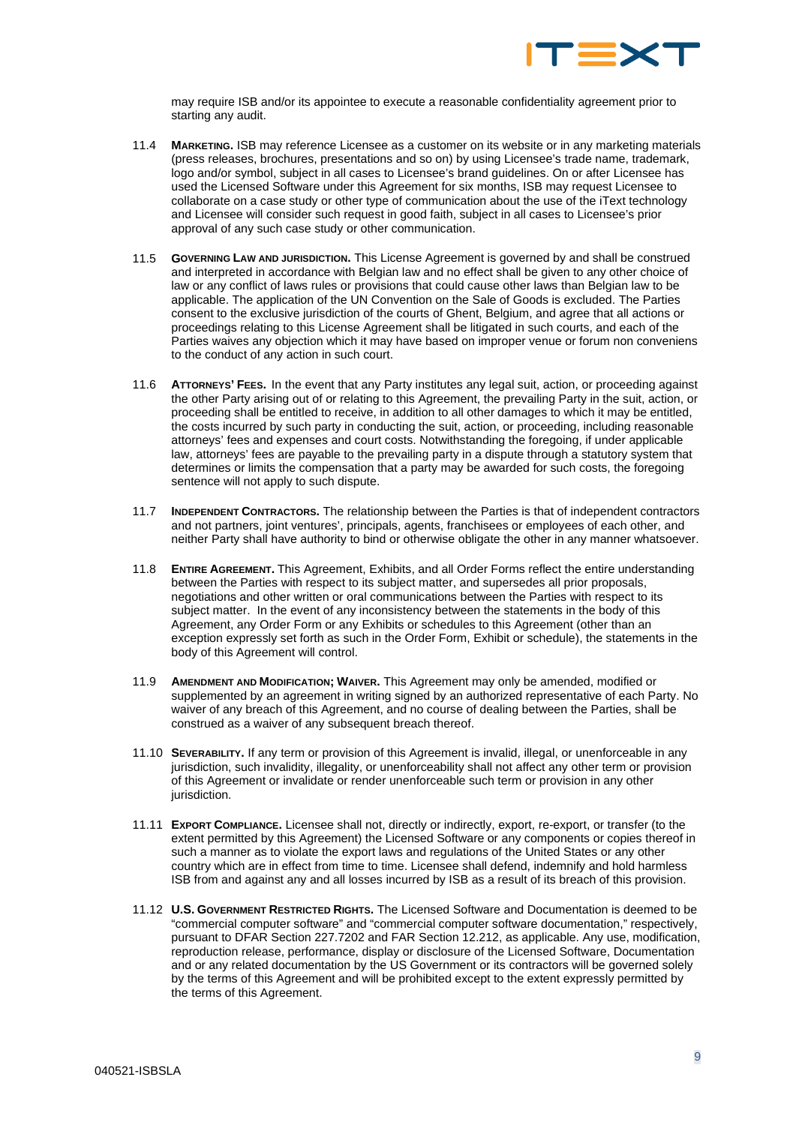

may require ISB and/or its appointee to execute a reasonable confidentiality agreement prior to starting any audit.

- 11.4 **MARKETING.** ISB may reference Licensee as a customer on its website or in any marketing materials (press releases, brochures, presentations and so on) by using Licensee's trade name, trademark, logo and/or symbol, subject in all cases to Licensee's brand guidelines. On or after Licensee has used the Licensed Software under this Agreement for six months, ISB may request Licensee to collaborate on a case study or other type of communication about the use of the iText technology and Licensee will consider such request in good faith, subject in all cases to Licensee's prior approval of any such case study or other communication.
- 11.5 **GOVERNING LAW AND JURISDICTION.** This License Agreement is governed by and shall be construed and interpreted in accordance with Belgian law and no effect shall be given to any other choice of law or any conflict of laws rules or provisions that could cause other laws than Belgian law to be applicable. The application of the UN Convention on the Sale of Goods is excluded. The Parties consent to the exclusive jurisdiction of the courts of Ghent, Belgium, and agree that all actions or proceedings relating to this License Agreement shall be litigated in such courts, and each of the Parties waives any objection which it may have based on improper venue or forum non conveniens to the conduct of any action in such court.
- 11.6 **ATTORNEYS' FEES.** In the event that any Party institutes any legal suit, action, or proceeding against the other Party arising out of or relating to this Agreement, the prevailing Party in the suit, action, or proceeding shall be entitled to receive, in addition to all other damages to which it may be entitled, the costs incurred by such party in conducting the suit, action, or proceeding, including reasonable attorneys' fees and expenses and court costs. Notwithstanding the foregoing, if under applicable law, attorneys' fees are payable to the prevailing party in a dispute through a statutory system that determines or limits the compensation that a party may be awarded for such costs, the foregoing sentence will not apply to such dispute.
- 11.7 **INDEPENDENT CONTRACTORS.** The relationship between the Parties is that of independent contractors and not partners, joint ventures', principals, agents, franchisees or employees of each other, and neither Party shall have authority to bind or otherwise obligate the other in any manner whatsoever.
- 11.8 **ENTIRE AGREEMENT.** This Agreement, Exhibits, and all Order Forms reflect the entire understanding between the Parties with respect to its subject matter, and supersedes all prior proposals, negotiations and other written or oral communications between the Parties with respect to its subject matter. In the event of any inconsistency between the statements in the body of this Agreement, any Order Form or any Exhibits or schedules to this Agreement (other than an exception expressly set forth as such in the Order Form, Exhibit or schedule), the statements in the body of this Agreement will control.
- 11.9 **AMENDMENT AND MODIFICATION; WAIVER.** This Agreement may only be amended, modified or supplemented by an agreement in writing signed by an authorized representative of each Party. No waiver of any breach of this Agreement, and no course of dealing between the Parties, shall be construed as a waiver of any subsequent breach thereof.
- 11.10 **SEVERABILITY.** If any term or provision of this Agreement is invalid, illegal, or unenforceable in any jurisdiction, such invalidity, illegality, or unenforceability shall not affect any other term or provision of this Agreement or invalidate or render unenforceable such term or provision in any other jurisdiction.
- 11.11 **EXPORT COMPLIANCE.** Licensee shall not, directly or indirectly, export, re-export, or transfer (to the extent permitted by this Agreement) the Licensed Software or any components or copies thereof in such a manner as to violate the export laws and regulations of the United States or any other country which are in effect from time to time. Licensee shall defend, indemnify and hold harmless ISB from and against any and all losses incurred by ISB as a result of its breach of this provision.
- 11.12 **U.S. GOVERNMENT RESTRICTED RIGHTS.** The Licensed Software and Documentation is deemed to be "commercial computer software" and "commercial computer software documentation," respectively, pursuant to DFAR Section 227.7202 and FAR Section 12.212, as applicable. Any use, modification, reproduction release, performance, display or disclosure of the Licensed Software, Documentation and or any related documentation by the US Government or its contractors will be governed solely by the terms of this Agreement and will be prohibited except to the extent expressly permitted by the terms of this Agreement.